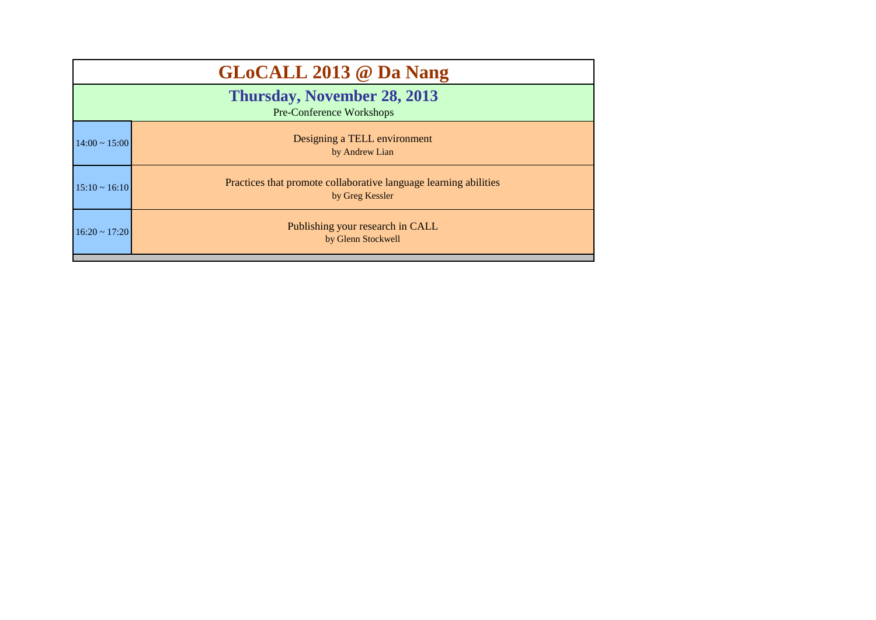|                                                                | <b>GLoCALL 2013 @ Da Nang</b>                                                       |  |  |  |  |
|----------------------------------------------------------------|-------------------------------------------------------------------------------------|--|--|--|--|
| <b>Thursday, November 28, 2013</b><br>Pre-Conference Workshops |                                                                                     |  |  |  |  |
| $14:00 \sim 15:00$                                             | Designing a TELL environment<br>by Andrew Lian                                      |  |  |  |  |
| $15:10 \sim 16:10$                                             | Practices that promote collaborative language learning abilities<br>by Greg Kessler |  |  |  |  |
| $16:20 \sim 17:20$                                             | Publishing your research in CALL<br>by Glenn Stockwell                              |  |  |  |  |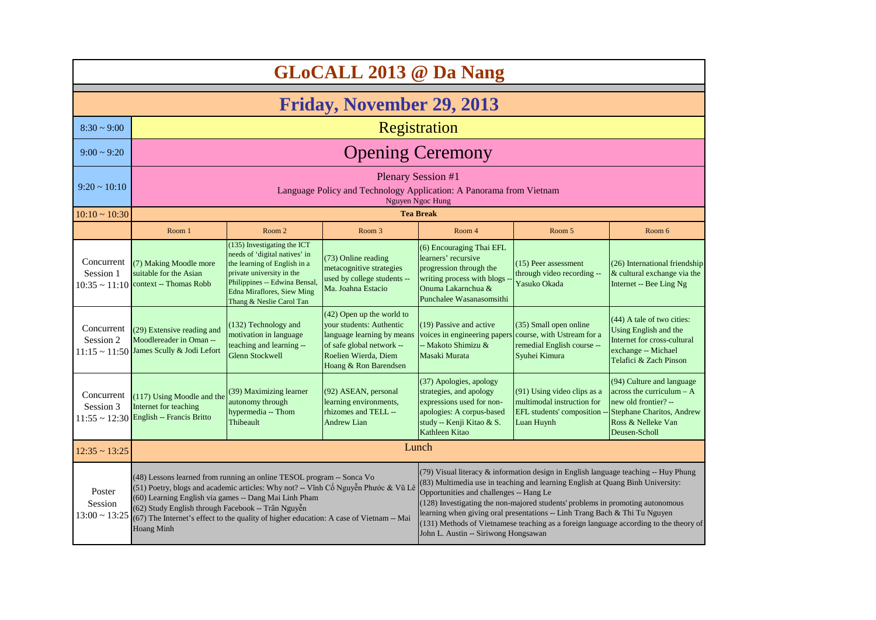| <b>GLoCALL 2013 @ Da Nang</b>           |                                                                                                                                                                                                                                                                                                                                                                                                                                                                                                                                                                                                                                                                                                                                                                                                                                                                                                                 |                                                                                                                                                                                                                             |                                                                                                                                                                     |                                                                                                                                                             |                                                                                                        |                                                                                                                                                             |
|-----------------------------------------|-----------------------------------------------------------------------------------------------------------------------------------------------------------------------------------------------------------------------------------------------------------------------------------------------------------------------------------------------------------------------------------------------------------------------------------------------------------------------------------------------------------------------------------------------------------------------------------------------------------------------------------------------------------------------------------------------------------------------------------------------------------------------------------------------------------------------------------------------------------------------------------------------------------------|-----------------------------------------------------------------------------------------------------------------------------------------------------------------------------------------------------------------------------|---------------------------------------------------------------------------------------------------------------------------------------------------------------------|-------------------------------------------------------------------------------------------------------------------------------------------------------------|--------------------------------------------------------------------------------------------------------|-------------------------------------------------------------------------------------------------------------------------------------------------------------|
|                                         | <b>Friday, November 29, 2013</b>                                                                                                                                                                                                                                                                                                                                                                                                                                                                                                                                                                                                                                                                                                                                                                                                                                                                                |                                                                                                                                                                                                                             |                                                                                                                                                                     |                                                                                                                                                             |                                                                                                        |                                                                                                                                                             |
| $8:30 \sim 9:00$                        |                                                                                                                                                                                                                                                                                                                                                                                                                                                                                                                                                                                                                                                                                                                                                                                                                                                                                                                 |                                                                                                                                                                                                                             |                                                                                                                                                                     | Registration                                                                                                                                                |                                                                                                        |                                                                                                                                                             |
| $9:00 \sim 9:20$                        |                                                                                                                                                                                                                                                                                                                                                                                                                                                                                                                                                                                                                                                                                                                                                                                                                                                                                                                 |                                                                                                                                                                                                                             |                                                                                                                                                                     | <b>Opening Ceremony</b>                                                                                                                                     |                                                                                                        |                                                                                                                                                             |
| $9:20 \sim 10:10$                       |                                                                                                                                                                                                                                                                                                                                                                                                                                                                                                                                                                                                                                                                                                                                                                                                                                                                                                                 | <b>Plenary Session #1</b><br>Language Policy and Technology Application: A Panorama from Vietnam<br>Nguyen Ngoc Hung                                                                                                        |                                                                                                                                                                     |                                                                                                                                                             |                                                                                                        |                                                                                                                                                             |
| $10:10 \sim 10:30$                      |                                                                                                                                                                                                                                                                                                                                                                                                                                                                                                                                                                                                                                                                                                                                                                                                                                                                                                                 |                                                                                                                                                                                                                             |                                                                                                                                                                     | <b>Tea Break</b>                                                                                                                                            |                                                                                                        |                                                                                                                                                             |
|                                         | Room 1                                                                                                                                                                                                                                                                                                                                                                                                                                                                                                                                                                                                                                                                                                                                                                                                                                                                                                          | Room 2                                                                                                                                                                                                                      | Room <sub>3</sub>                                                                                                                                                   | Room 4                                                                                                                                                      | Room 5                                                                                                 | Room 6                                                                                                                                                      |
| Concurrent<br>Session 1                 | (7) Making Moodle more<br>suitable for the Asian<br>$10:35 \sim 11:10$ context -- Thomas Robb                                                                                                                                                                                                                                                                                                                                                                                                                                                                                                                                                                                                                                                                                                                                                                                                                   | (135) Investigating the ICT<br>needs of 'digital natives' in<br>the learning of English in a<br>private university in the<br>Philippines -- Edwina Bensal,<br><b>Edna Miraflores, Siew Ming</b><br>Thang & Neslie Carol Tan | (73) Online reading<br>metacognitive strategies<br>used by college students --<br>Ma. Joahna Estacio                                                                | (6) Encouraging Thai EFL<br>learners' recursive<br>progression through the<br>writing process with blogs<br>Onuma Lakarnchua &<br>Punchalee Wasanasomsithi  | (15) Peer assessment<br>through video recording --<br>Yasuko Okada                                     | (26) International friendship<br>& cultural exchange via the<br>Internet -- Bee Ling Ng                                                                     |
| Concurrent<br>Session 2                 | (29) Extensive reading and<br>Moodlereader in Oman --<br>11:15 ~ 11:50 James Scully & Jodi Lefort                                                                                                                                                                                                                                                                                                                                                                                                                                                                                                                                                                                                                                                                                                                                                                                                               | (132) Technology and<br>motivation in language<br>teaching and learning --<br><b>Glenn Stockwell</b>                                                                                                                        | $(42)$ Open up the world to<br>your students: Authentic<br>language learning by means<br>of safe global network --<br>Roelien Wierda, Diem<br>Hoang & Ron Barendsen | (19) Passive and active<br>voices in engineering papers<br>-- Makoto Shimizu &<br>Masaki Murata                                                             | (35) Small open online<br>course, with Ustream for a<br>remedial English course --<br>Syuhei Kimura    | (44) A tale of two cities:<br>Using English and the<br>Internet for cross-cultural<br>exchange -- Michael<br>Telafici & Zach Pinson                         |
| Concurrent<br>Session 3                 | (117) Using Moodle and the<br>Internet for teaching<br>$11:55 \sim 12:30$ English -- Francis Britto                                                                                                                                                                                                                                                                                                                                                                                                                                                                                                                                                                                                                                                                                                                                                                                                             | (39) Maximizing learner<br>autonomy through<br>hypermedia -- Thom<br>Thibeault                                                                                                                                              | (92) ASEAN, personal<br>learning environments,<br>rhizomes and TELL --<br><b>Andrew Lian</b>                                                                        | (37) Apologies, apology<br>strategies, and apology<br>expressions used for non-<br>apologies: A corpus-based<br>study -- Kenji Kitao & S.<br>Kathleen Kitao | (91) Using video clips as a<br>multimodal instruction for<br>EFL students' composition -<br>Luan Huynh | (94) Culture and language<br>across the curriculum $- A$<br>new old frontier? --<br><b>Stephane Charitos, Andrew</b><br>Ross & Nelleke Van<br>Deusen-Scholl |
| $12:35 \sim 13:25$                      |                                                                                                                                                                                                                                                                                                                                                                                                                                                                                                                                                                                                                                                                                                                                                                                                                                                                                                                 |                                                                                                                                                                                                                             |                                                                                                                                                                     | Lunch                                                                                                                                                       |                                                                                                        |                                                                                                                                                             |
| Poster<br>Session<br>$13:00 \sim 13:25$ | (79) Visual literacy & information design in English language teaching -- Huy Phung<br>(48) Lessons learned from running an online TESOL program -- Sonca Vo<br>(83) Multimedia use in teaching and learning English at Quang Binh University:<br>(51) Poetry, blogs and academic articles: Why not? -- Vĩnh Cố Nguyễn Phước & Vũ Lê<br>Opportunities and challenges -- Hang Le<br>(60) Learning English via games -- Dang Mai Linh Pham<br>(128) Investigating the non-majored students' problems in promoting autonomous<br>(62) Study English through Facebook -- Trân Nguyễn<br>learning when giving oral presentations -- Linh Trang Bach & Thi Tu Nguyen<br>(67) The Internet's effect to the quality of higher education: A case of Vietnam -- Mai<br>(131) Methods of Vietnamese teaching as a foreign language according to the theory of<br><b>Hoang Minh</b><br>John L. Austin -- Siriwong Hongsawan |                                                                                                                                                                                                                             |                                                                                                                                                                     |                                                                                                                                                             |                                                                                                        |                                                                                                                                                             |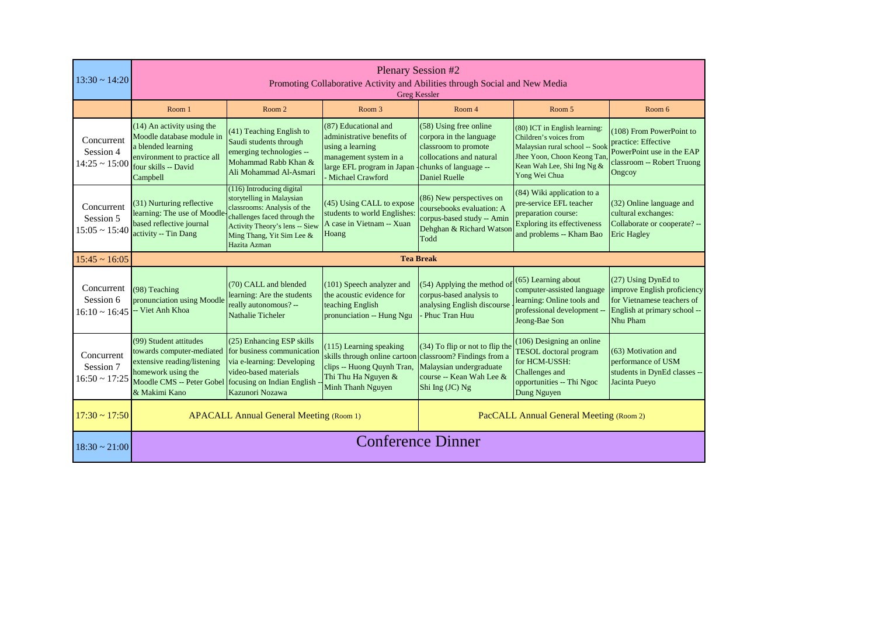| $13:30 \sim 14:20$                            |                                                                                                                                                        | <b>Plenary Session #2</b><br>Promoting Collaborative Activity and Abilities through Social and New Media<br><b>Greg Kessler</b>                                                                      |                                                                                                                                                               |                                                                                                                                                         |                                                                                                                                                                        |                                                                                                                              |
|-----------------------------------------------|--------------------------------------------------------------------------------------------------------------------------------------------------------|------------------------------------------------------------------------------------------------------------------------------------------------------------------------------------------------------|---------------------------------------------------------------------------------------------------------------------------------------------------------------|---------------------------------------------------------------------------------------------------------------------------------------------------------|------------------------------------------------------------------------------------------------------------------------------------------------------------------------|------------------------------------------------------------------------------------------------------------------------------|
|                                               | Room 1                                                                                                                                                 | Room 2                                                                                                                                                                                               | Room <sub>3</sub>                                                                                                                                             | Room 4                                                                                                                                                  | Room 5                                                                                                                                                                 | Room 6                                                                                                                       |
| Concurrent<br>Session 4<br>$14:25 \sim 15:00$ | (14) An activity using the<br>Moodle database module in<br>a blended learning<br>environment to practice all<br>four skills -- David<br>Campbell       | (41) Teaching English to<br>Saudi students through<br>emerging technologies --<br>Mohammad Rabb Khan &<br>Ali Mohammad Al-Asmari                                                                     | (87) Educational and<br>administrative benefits of<br>using a learning<br>management system in a<br>large EFL program in Japan<br>- Michael Crawford          | (58) Using free online<br>corpora in the language<br>classroom to promote<br>collocations and natural<br>-chunks of language --<br><b>Daniel Ruelle</b> | (80) ICT in English learning:<br>Children's voices from<br>Malaysian rural school -- Sook<br>Jhee Yoon, Choon Keong Tan<br>Kean Wah Lee, Shi Ing Ng &<br>Yong Wei Chua | (108) From PowerPoint to<br>practice: Effective<br>PowerPoint use in the EAP<br>classroom -- Robert Truong<br>Ongcoy         |
| Concurrent<br>Session 5<br>$15:05 \sim 15:40$ | (31) Nurturing reflective<br>learning: The use of Moodle<br>based reflective journal<br>activity -- Tin Dang                                           | (116) Introducing digital<br>storytelling in Malaysian<br>classrooms: Analysis of the<br>challenges faced through the<br>Activity Theory's lens -- Siew<br>Ming Thang, Yit Sim Lee &<br>Hazita Azman | (45) Using CALL to expose<br>students to world Englishes<br>A case in Vietnam -- Xuan<br>Hoang                                                                | (86) New perspectives on<br>coursebooks evaluation: A<br>corpus-based study -- Amin<br>Dehghan & Richard Watson<br>Todd                                 | (84) Wiki application to a<br>pre-service EFL teacher<br>preparation course:<br><b>Exploring its effectiveness</b><br>and problems -- Kham Bao                         | (32) Online language and<br>cultural exchanges:<br>Collaborate or cooperate? --<br><b>Eric Hagley</b>                        |
| $15:45 \sim 16:05$                            |                                                                                                                                                        |                                                                                                                                                                                                      |                                                                                                                                                               | <b>Tea Break</b>                                                                                                                                        |                                                                                                                                                                        |                                                                                                                              |
| Concurrent<br>Session 6<br>$16:10 \sim 16:45$ | (98) Teaching<br>pronunciation using Moodle<br>- Viet Anh Khoa                                                                                         | (70) CALL and blended<br>learning: Are the students<br>really autonomous? --<br>Nathalie Ticheler                                                                                                    | (101) Speech analyzer and<br>the acoustic evidence for<br>teaching English<br>pronunciation -- Hung Ngu                                                       | (54) Applying the method of<br>corpus-based analysis to<br>analysing English discourse<br>Phuc Tran Huu                                                 | $(65)$ Learning about<br>computer-assisted language<br>learning: Online tools and<br>professional development --<br>Jeong-Bae Son                                      | (27) Using DynEd to<br>improve English proficiency<br>for Vietnamese teachers of<br>English at primary school --<br>Nhu Pham |
| Concurrent<br>Session 7<br>$16:50 \sim 17:25$ | (99) Student attitudes<br>towards computer-mediated<br>extensive reading/listening<br>homework using the<br>Moodle CMS -- Peter Gobel<br>& Makimi Kano | (25) Enhancing ESP skills<br>for business communication<br>via e-learning: Developing<br>video-based materials<br>focusing on Indian English<br>Kazunori Nozawa                                      | (115) Learning speaking<br>skills through online cartoon classroom? Findings from a<br>clips -- Huong Quynh Tran,<br>Thi Thu Ha Nguyen &<br>Minh Thanh Nguyen | (34) To flip or not to flip the<br>Malaysian undergraduate<br>course -- Kean Wah Lee &<br>Shi Ing (JC) Ng                                               | (106) Designing an online<br>TESOL doctoral program<br>for HCM-USSH:<br>Challenges and<br>opportunities -- Thi Ngoc<br>Dung Nguyen                                     | $(63)$ Motivation and<br>performance of USM<br>students in DynEd classes --<br>Jacinta Pueyo                                 |
| $17:30 \sim 17:50$                            | PacCALL Annual General Meeting (Room 2)<br><b>APACALL Annual General Meeting (Room 1)</b>                                                              |                                                                                                                                                                                                      |                                                                                                                                                               |                                                                                                                                                         |                                                                                                                                                                        |                                                                                                                              |
| $18:30 \sim 21:00$                            | <b>Conference Dinner</b>                                                                                                                               |                                                                                                                                                                                                      |                                                                                                                                                               |                                                                                                                                                         |                                                                                                                                                                        |                                                                                                                              |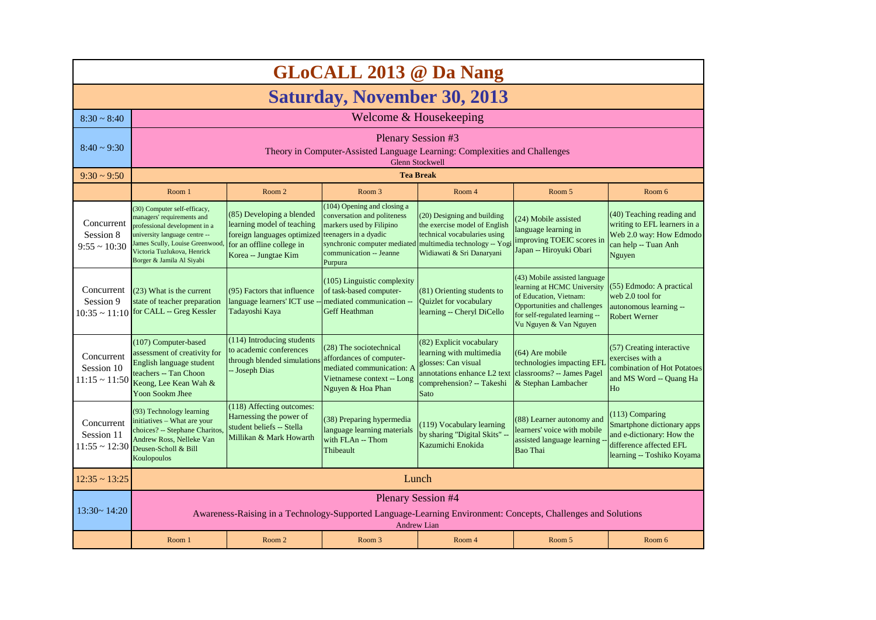|                                                | <b>GLoCALL 2013 @ Da Nang</b>                                                                                                                                                                                               |                                                                                                                                             |                                                                                                                                                                                                                     |                                                                                                                                                 |                                                                                                                                                                                    |                                                                                                                                       |
|------------------------------------------------|-----------------------------------------------------------------------------------------------------------------------------------------------------------------------------------------------------------------------------|---------------------------------------------------------------------------------------------------------------------------------------------|---------------------------------------------------------------------------------------------------------------------------------------------------------------------------------------------------------------------|-------------------------------------------------------------------------------------------------------------------------------------------------|------------------------------------------------------------------------------------------------------------------------------------------------------------------------------------|---------------------------------------------------------------------------------------------------------------------------------------|
|                                                | <b>Saturday, November 30, 2013</b>                                                                                                                                                                                          |                                                                                                                                             |                                                                                                                                                                                                                     |                                                                                                                                                 |                                                                                                                                                                                    |                                                                                                                                       |
| $8:30 \sim 8:40$                               |                                                                                                                                                                                                                             |                                                                                                                                             | Welcome & Housekeeping                                                                                                                                                                                              |                                                                                                                                                 |                                                                                                                                                                                    |                                                                                                                                       |
| $8:40 \sim 9:30$                               |                                                                                                                                                                                                                             | <b>Plenary Session #3</b><br>Theory in Computer-Assisted Language Learning: Complexities and Challenges<br><b>Glenn Stockwell</b>           |                                                                                                                                                                                                                     |                                                                                                                                                 |                                                                                                                                                                                    |                                                                                                                                       |
| $9:30 \approx 9:50$                            |                                                                                                                                                                                                                             |                                                                                                                                             |                                                                                                                                                                                                                     | <b>Tea Break</b>                                                                                                                                |                                                                                                                                                                                    |                                                                                                                                       |
|                                                | Room 1                                                                                                                                                                                                                      | Room 2                                                                                                                                      | Room 3                                                                                                                                                                                                              | Room 4                                                                                                                                          | Room 5                                                                                                                                                                             | Room 6                                                                                                                                |
| Concurrent<br>Session 8<br>$9:55 \sim 10:30$   | (30) Computer self-efficacy,<br>managers' requirements and<br>professional development in a<br>university language centre --<br>James Scully, Louise Greenwood,<br>Victoria Tuzlukova, Henrick<br>Borger & Jamila Al Siyabi | (85) Developing a blended<br>learning model of teaching<br>foreign languages optimized<br>for an offline college in<br>Korea -- Jungtae Kim | (104) Opening and closing a<br>conversation and politeness<br>markers used by Filipino<br>teenagers in a dyadic<br>synchronic computer mediated multimedia technology -- Yogi<br>communication -- Jeanne<br>Purpura | (20) Designing and building<br>the exercise model of English<br>technical vocabularies using<br>Widiawati & Sri Danaryani                       | (24) Mobile assisted<br>language learning in<br>improving TOEIC scores in<br>Japan -- Hiroyuki Obari                                                                               | (40) Teaching reading and<br>writing to EFL learners in a<br>Web 2.0 way: How Edmodo<br>can help -- Tuan Anh<br>Nguyen                |
| Concurrent<br>Session 9                        | $(23)$ What is the current<br>state of teacher preparation<br>$10:35 \sim 11:10$ for CALL -- Greg Kessler                                                                                                                   | (95) Factors that influence<br>language learners' ICT use -<br>Tadayoshi Kaya                                                               | $(105)$ Linguistic complexity<br>of task-based computer-<br>mediated communication --<br><b>Geff Heathman</b>                                                                                                       | (81) Orienting students to<br>Quizlet for vocabulary<br>learning -- Cheryl DiCello                                                              | (43) Mobile assisted language<br>learning at HCMC University<br>of Education, Vietnam:<br>Opportunities and challenges<br>for self-regulated learning --<br>Vu Nguyen & Van Nguyen | (55) Edmodo: A practical<br>web 2.0 tool for<br>autonomous learning --<br><b>Robert Werner</b>                                        |
| Concurrent<br>Session 10<br>$11:15 \sim 11:50$ | (107) Computer-based<br>assessment of creativity for<br>English language student<br>teachers -- Tan Choon<br>Keong, Lee Kean Wah &<br>Yoon Sookm Jhee                                                                       | (114) Introducing students<br>to academic conferences<br>through blended simulations<br>- Joseph Dias                                       | (28) The sociotechnical<br>affordances of computer-<br>mediated communication: A<br>Vietnamese context -- Long<br>Nguyen & Hoa Phan                                                                                 | (82) Explicit vocabulary<br>learning with multimedia<br>glosses: Can visual<br>annotations enhance L2 text<br>comprehension? -- Takeshi<br>Sato | (64) Are mobile<br>technologies impacting EFL<br>classrooms? -- James Pagel<br>& Stephan Lambacher                                                                                 | (57) Creating interactive<br>exercises with a<br>combination of Hot Potatoes<br>and MS Word -- Quang Ha<br>Ho                         |
| Concurrent<br>Session 11<br>$11:55 \sim 12:30$ | (93) Technology learning<br>initiatives - What are your<br>choices? -- Stephane Charitos,<br>Andrew Ross, Nelleke Van<br>Deusen-Scholl & Bill<br>Koulopoulos                                                                | (118) Affecting outcomes:<br>Harnessing the power of<br>student beliefs -- Stella<br>Millikan & Mark Howarth                                | (38) Preparing hypermedia<br>language learning materials<br>with FLAn -- Thom<br>Thibeault                                                                                                                          | (119) Vocabulary learning<br>by sharing "Digital Skits" -<br>Kazumichi Enokida                                                                  | (88) Learner autonomy and<br>learners' voice with mobile<br>assisted language learning<br><b>Bao Thai</b>                                                                          | $(113)$ Comparing<br>Smartphone dictionary apps<br>and e-dictionary: How the<br>difference affected EFL<br>learning -- Toshiko Koyama |
| $12:35 \sim 13:25$                             |                                                                                                                                                                                                                             |                                                                                                                                             | Lunch                                                                                                                                                                                                               |                                                                                                                                                 |                                                                                                                                                                                    |                                                                                                                                       |
| $13:30 \sim 14:20$                             |                                                                                                                                                                                                                             | Awareness-Raising in a Technology-Supported Language-Learning Environment: Concepts, Challenges and Solutions                               | <b>Plenary Session #4</b>                                                                                                                                                                                           | <b>Andrew Lian</b>                                                                                                                              |                                                                                                                                                                                    |                                                                                                                                       |
|                                                | Room 1                                                                                                                                                                                                                      | Room 2                                                                                                                                      | Room 3                                                                                                                                                                                                              | Room 4                                                                                                                                          | Room 5                                                                                                                                                                             | Room 6                                                                                                                                |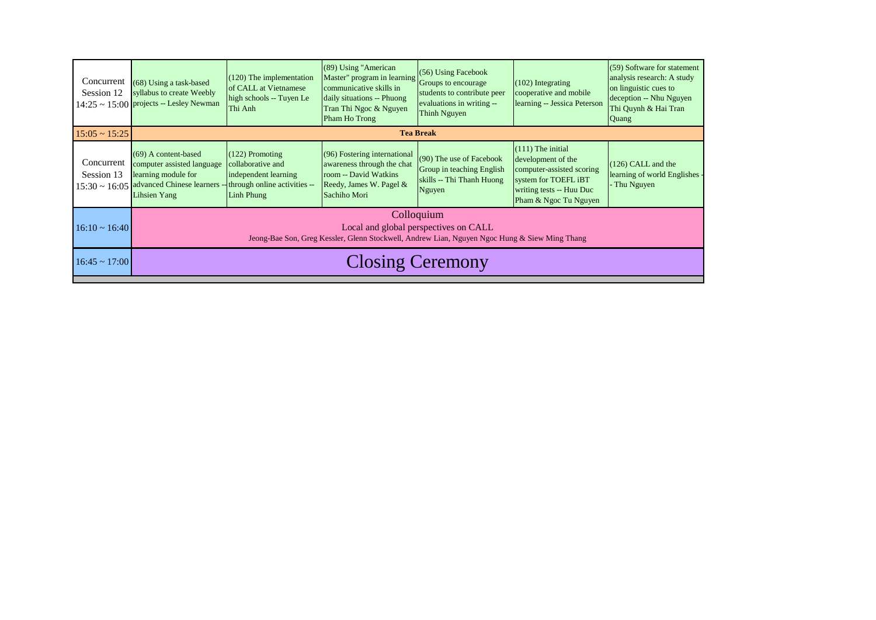| Concurrent<br>Session 12 | (68) Using a task-based<br>syllabus to create Weebly<br>$14:25 \sim 15:00$ projects -- Lesley Newman                                                                             | $(120)$ The implementation<br>of CALL at Vietnamese<br>high schools -- Tuyen Le<br>Thi Anh | (89) Using "American<br>$\left[\text{Master}^{\text{top}}\right]$ program in learning $\left \text{Groups to encourage}\right $<br>communicative skills in<br>daily situations -- Phuong<br>Tran Thi Ngoc & Nguyen<br>Pham Ho Trong | (56) Using Facebook<br>students to contribute peer<br>evaluations in writing --<br>Thinh Nguyen | $(102)$ Integrating<br>cooperative and mobile<br>learning -- Jessica Peterson                                                                       | (59) Software for statement<br>analysis research: A study<br>on linguistic cues to<br>deception -- Nhu Nguyen<br>Thi Quynh & Hai Tran<br>Quang |
|--------------------------|----------------------------------------------------------------------------------------------------------------------------------------------------------------------------------|--------------------------------------------------------------------------------------------|-------------------------------------------------------------------------------------------------------------------------------------------------------------------------------------------------------------------------------------|-------------------------------------------------------------------------------------------------|-----------------------------------------------------------------------------------------------------------------------------------------------------|------------------------------------------------------------------------------------------------------------------------------------------------|
| $15:05 \sim 15:25$       |                                                                                                                                                                                  |                                                                                            |                                                                                                                                                                                                                                     | <b>Tea Break</b>                                                                                |                                                                                                                                                     |                                                                                                                                                |
| Concurrent<br>Session 13 | (69) A content-based<br>computer assisted language<br>learning module for<br>$15:30 \sim 16:05$ advanced Chinese learners -- through online activities --<br><b>Lihsien Yang</b> | $(122)$ Promoting<br>collaborative and<br>independent learning<br>Linh Phung               | (96) Fostering international<br>awareness through the chat<br>room -- David Watkins<br>Reedy, James W. Pagel &<br>Sachiho Mori                                                                                                      | (90) The use of Facebook<br>Group in teaching English<br>skills -- Thi Thanh Huong<br>Nguyen    | $(111)$ The initial<br>development of the<br>computer-assisted scoring<br>system for TOEFL iBT<br>writing tests -- Huu Duc<br>Pham & Ngoc Tu Nguyen | $(126)$ CALL and the<br>learning of world Englishes<br>Thu Nguyen                                                                              |
| $16:10 \sim 16:40$       | Colloquium<br>Local and global perspectives on CALL<br>Jeong-Bae Son, Greg Kessler, Glenn Stockwell, Andrew Lian, Nguyen Ngoc Hung & Siew Ming Thang                             |                                                                                            |                                                                                                                                                                                                                                     |                                                                                                 |                                                                                                                                                     |                                                                                                                                                |
| $16:45 \sim 17:00$       | <b>Closing Ceremony</b>                                                                                                                                                          |                                                                                            |                                                                                                                                                                                                                                     |                                                                                                 |                                                                                                                                                     |                                                                                                                                                |